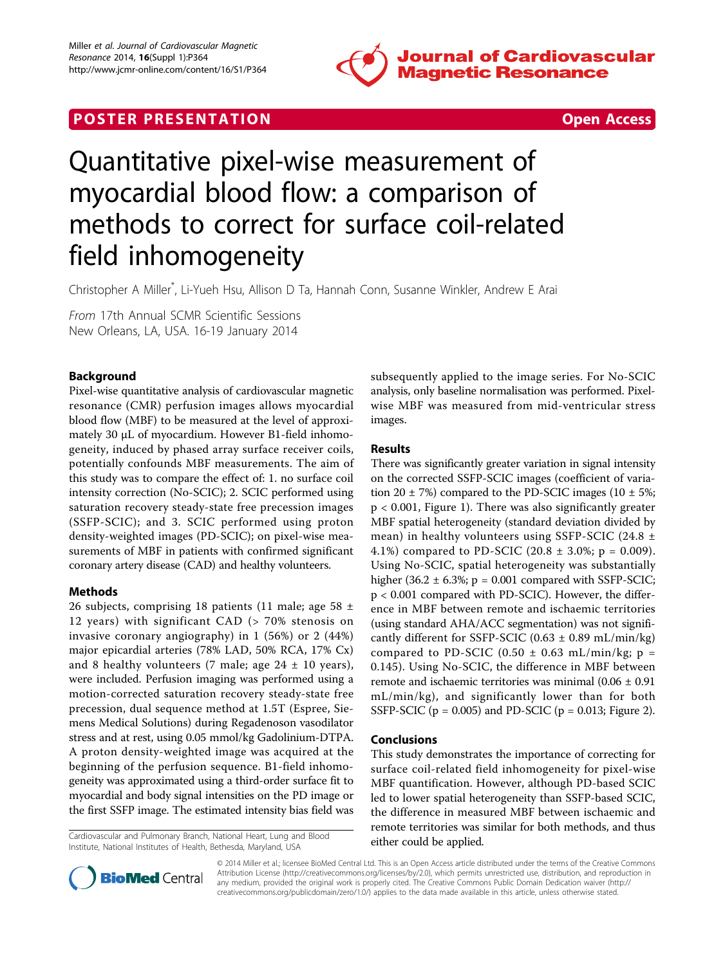

## **POSTER PRESENTATION CONSUMING THE SECOND CONSUMING THE SECOND CONSUMING THE SECOND CONSUMING THE SECOND CONSUMING THE SECOND CONSUMING THE SECOND CONSUMING THE SECOND CONSUMING THE SECOND CONSUMING THE SECOND CONSUMING**



# Quantitative pixel-wise measurement of myocardial blood flow: a comparison of methods to correct for surface coil-related field inhomogeneity

Christopher A Miller\* , Li-Yueh Hsu, Allison D Ta, Hannah Conn, Susanne Winkler, Andrew E Arai

From 17th Annual SCMR Scientific Sessions New Orleans, LA, USA. 16-19 January 2014

### Background

Pixel-wise quantitative analysis of cardiovascular magnetic resonance (CMR) perfusion images allows myocardial blood flow (MBF) to be measured at the level of approximately 30 μL of myocardium. However B1-field inhomogeneity, induced by phased array surface receiver coils, potentially confounds MBF measurements. The aim of this study was to compare the effect of: 1. no surface coil intensity correction (No-SCIC); 2. SCIC performed using saturation recovery steady-state free precession images (SSFP-SCIC); and 3. SCIC performed using proton density-weighted images (PD-SCIC); on pixel-wise measurements of MBF in patients with confirmed significant coronary artery disease (CAD) and healthy volunteers.

#### Methods

26 subjects, comprising 18 patients (11 male; age 58  $\pm$ 12 years) with significant CAD (> 70% stenosis on invasive coronary angiography) in 1 (56%) or 2 (44%) major epicardial arteries (78% LAD, 50% RCA, 17% Cx) and 8 healthy volunteers (7 male; age  $24 \pm 10$  years), were included. Perfusion imaging was performed using a motion-corrected saturation recovery steady-state free precession, dual sequence method at 1.5T (Espree, Siemens Medical Solutions) during Regadenoson vasodilator stress and at rest, using 0.05 mmol/kg Gadolinium-DTPA. A proton density-weighted image was acquired at the beginning of the perfusion sequence. B1-field inhomogeneity was approximated using a third-order surface fit to myocardial and body signal intensities on the PD image or the first SSFP image. The estimated intensity bias field was

Cardiovascular and Pulmonary Branch, National Heart, Lung and Blood either could be applied. Institute, National Institutes of Health, Bethesda, Maryland, USA

subsequently applied to the image series. For No-SCIC analysis, only baseline normalisation was performed. Pixelwise MBF was measured from mid-ventricular stress images.

### Results

There was significantly greater variation in signal intensity on the corrected SSFP-SCIC images (coefficient of variation 20  $\pm$  7%) compared to the PD-SCIC images (10  $\pm$  5%; p < 0.001, Figure [1](#page-1-0)). There was also significantly greater MBF spatial heterogeneity (standard deviation divided by mean) in healthy volunteers using SSFP-SCIC (24.8  $\pm$ 4.1%) compared to PD-SCIC (20.8  $\pm$  3.0%; p = 0.009). Using No-SCIC, spatial heterogeneity was substantially higher (36.2  $\pm$  6.3%; p = 0.001 compared with SSFP-SCIC; p < 0.001 compared with PD-SCIC). However, the difference in MBF between remote and ischaemic territories (using standard AHA/ACC segmentation) was not significantly different for SSFP-SCIC (0.63  $\pm$  0.89 mL/min/kg) compared to PD-SCIC (0.50  $\pm$  0.63 mL/min/kg; p = 0.145). Using No-SCIC, the difference in MBF between remote and ischaemic territories was minimal  $(0.06 \pm 0.91)$ mL/min/kg), and significantly lower than for both SSFP-SCIC ( $p = 0.005$ ) and PD-SCIC ( $p = 0.013$ ; Figure [2](#page-1-0)).

#### Conclusions

This study demonstrates the importance of correcting for surface coil-related field inhomogeneity for pixel-wise MBF quantification. However, although PD-based SCIC led to lower spatial heterogeneity than SSFP-based SCIC, the difference in measured MBF between ischaemic and remote territories was similar for both methods, and thus



© 2014 Miller et al.; licensee BioMed Central Ltd. This is an Open Access article distributed under the terms of the Creative Commons Attribution License [\(http://creativecommons.org/licenses/by/2.0](http://creativecommons.org/licenses/by/2.0)), which permits unrestricted use, distribution, and reproduction in any medium, provided the original work is properly cited. The Creative Commons Public Domain Dedication waiver [\(http://](http://creativecommons.org/publicdomain/zero/1.0/) [creativecommons.org/publicdomain/zero/1.0/](http://creativecommons.org/publicdomain/zero/1.0/)) applies to the data made available in this article, unless otherwise stated.